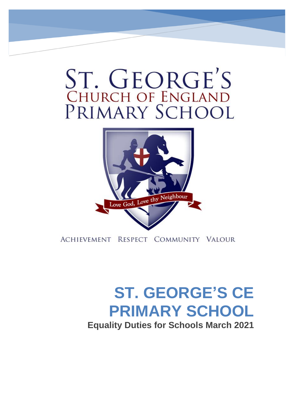# ST. GEORGE'S<br>CHURCH OF ENGLAND PRIMARY SCHOOL



ACHIEVEMENT RESPECT COMMUNITY VALOUR

## **ST. GEORGE'S CE PRIMARY SCHOOL**

**Equality Duties for Schools March 2021**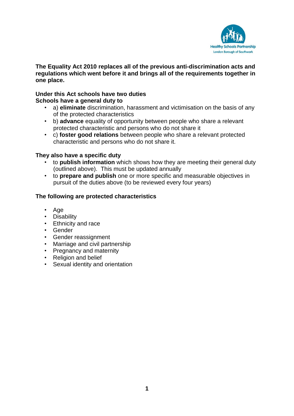

#### **The Equality Act 2010 replaces all of the previous anti-discrimination acts and regulations which went before it and brings all of the requirements together in one place.**

#### **Under this Act schools have two duties Schools have a general duty to**

- a) **eliminate** discrimination, harassment and victimisation on the basis of any of the protected characteristics
- b) **advance** equality of opportunity between people who share a relevant protected characteristic and persons who do not share it
- c) **foster good relations** between people who share a relevant protected characteristic and persons who do not share it.

#### **They also have a specific duty**

- to **publish information** which shows how they are meeting their general duty (outlined above). This must be updated annually
- to **prepare and publish** one or more specific and measurable objectives in pursuit of the duties above (to be reviewed every four years)

#### **The following are protected characteristics**

- Age
- Disability
- Ethnicity and race
- Gender
- Gender reassignment
- Marriage and civil partnership
- Pregnancy and maternity
- Religion and belief
- Sexual identity and orientation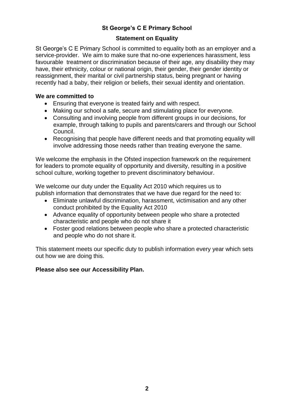#### **St George's C E Primary School**

#### **Statement on Equality**

St George's C E Primary School is committed to equality both as an employer and a service-provider. We aim to make sure that no-one experiences harassment, less favourable treatment or discrimination because of their age, any disability they may have, their ethnicity, colour or national origin, their gender, their gender identity or reassignment, their marital or civil partnership status, being pregnant or having recently had a baby, their religion or beliefs, their sexual identity and orientation.

#### **We are committed to**

- Ensuring that everyone is treated fairly and with respect.
- Making our school a safe, secure and stimulating place for everyone.
- Consulting and involving people from different groups in our decisions, for example, through talking to pupils and parents/carers and through our School Council.
- Recognising that people have different needs and that promoting equality will involve addressing those needs rather than treating everyone the same.

We welcome the emphasis in the Ofsted inspection framework on the requirement for leaders to promote equality of opportunity and diversity, resulting in a positive school culture, working together to prevent discriminatory behaviour.

We welcome our duty under the Equality Act 2010 which requires us to publish information that demonstrates that we have due regard for the need to:

- Eliminate unlawful discrimination, harassment, victimisation and any other conduct prohibited by the Equality Act 2010
- Advance equality of opportunity between people who share a protected characteristic and people who do not share it
- Foster good relations between people who share a protected characteristic and people who do not share it.

This statement meets our specific duty to publish information every year which sets out how we are doing this.

#### **Please also see our Accessibility Plan.**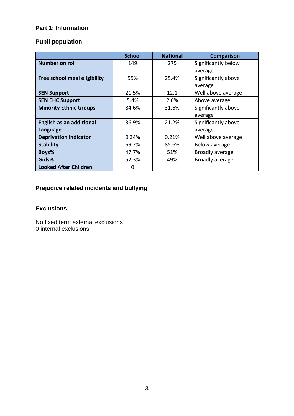#### **Part 1: Information**

#### **Pupil population**

|                                 | <b>School</b> | <b>National</b> | <b>Comparison</b>   |  |
|---------------------------------|---------------|-----------------|---------------------|--|
| Number on roll                  | 149           | 275             | Significantly below |  |
|                                 |               |                 | average             |  |
| Free school meal eligibility    | 55%           | 25.4%           | Significantly above |  |
|                                 |               |                 | average             |  |
| <b>SEN Support</b>              | 21.5%         | 12.1            | Well above average  |  |
| <b>SEN EHC Support</b>          | 5.4%          | 2.6%            | Above average       |  |
| <b>Minority Ethnic Groups</b>   | 84.6%         | 31.6%           | Significantly above |  |
|                                 |               |                 | average             |  |
| <b>English as an additional</b> | 36.9%         | 21.2%           | Significantly above |  |
| Language                        |               |                 | average             |  |
| <b>Deprivation Indicator</b>    | 0.34%         | 0.21%           | Well above average  |  |
| <b>Stability</b>                | 69.2%         | 85.6%           | Below average       |  |
| Boys%                           | 47.7%         | 51%             | Broadly average     |  |
| Girls%                          | 52.3%         | 49%             | Broadly average     |  |
| <b>Looked After Children</b>    | 0             |                 |                     |  |

### **Prejudice related incidents and bullying**

#### **Exclusions**

No fixed term external exclusions 0 internal exclusions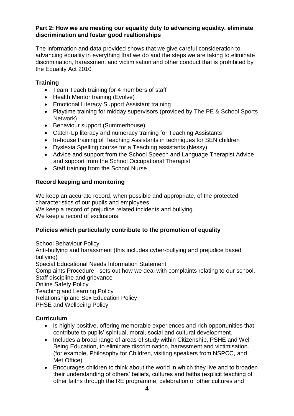#### **Part 2: How we are meeting our equality duty to advancing equality, eliminate discrimination and foster good realtionships**

The information and data provided shows that we give careful consideration to advancing equality in everything that we do and the steps we are taking to eliminate discrimination, harassment and victimisation and other conduct that is prohibited by the Equality Act 2010

#### **Training**

- Team Teach training for 4 members of staff
- Health Mentor training (Evolve)
- Emotional Literacy Support Assistant training
- Playtime training for midday supervisors (provided by The PE & School Sports Network)
- Behaviour support (Summerhouse)
- Catch-Up literacy and numeracy training for Teaching Assistants
- In-house training of Teaching Assistants in techniques for SEN children
- Dyslexia Spelling course for a Teaching assistants (Nessy)
- Advice and support from the School Speech and Language Therapist Advice and support from the School Occupational Therapist
- Staff training from the School Nurse

#### **Record keeping and monitoring**

We keep an accurate record, when possible and appropriate, of the protected characteristics of our pupils and employees.

We keep a record of prejudice related incidents and bullying.

We keep a record of exclusions

#### **Policies which particularly contribute to the promotion of equality**

School Behaviour Policy Anti-bullying and harassment (this includes cyber-bullying and prejudice based bullying) Special Educational Needs Information Statement Complaints Procedure - sets out how we deal with complaints relating to our school. Staff discipline and grievance Online Safety Policy Teaching and Learning Policy Relationship and Sex Education Policy PHSE and Wellbeing Policy

#### **Curriculum**

- Is highly positive, offering memorable experiences and rich opportunities that contribute to pupils' spiritual, moral, social and cultural development.
- Includes a broad range of areas of study within Citizenship, PSHE and Well Being Education, to eliminate discrimination, harassment and victimisation. (for example, Philosophy for Children, visiting speakers from NSPCC, and Met Office)
- Encourages children to think about the world in which they live and to broaden their understanding of others' beliefs, cultures and faiths (explicit teaching of other faiths through the RE programme, celebration of other cultures and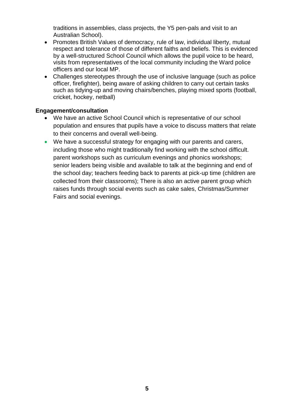traditions in assemblies, class projects, the Y5 pen-pals and visit to an Australian School).

- Promotes British Values of democracy, rule of law, individual liberty, mutual respect and tolerance of those of different faiths and beliefs. This is evidenced by a well-structured School Council which allows the pupil voice to be heard, visits from representatives of the local community including the Ward police officers and our local MP.
- Challenges stereotypes through the use of inclusive language (such as police officer, firefighter), being aware of asking children to carry out certain tasks such as tidying-up and moving chairs/benches, playing mixed sports (football, cricket, hockey, netball)

#### **Engagement/consultation**

- We have an active School Council which is representative of our school population and ensures that pupils have a voice to discuss matters that relate to their concerns and overall well-being.
- We have a successful strategy for engaging with our parents and carers, including those who might traditionally find working with the school difficult. parent workshops such as curriculum evenings and phonics workshops; senior leaders being visible and available to talk at the beginning and end of the school day; teachers feeding back to parents at pick-up time (children are collected from their classrooms); There is also an active parent group which raises funds through social events such as cake sales, Christmas/Summer Fairs and social evenings.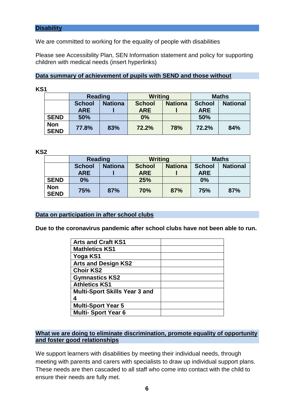We are committed to working for the equality of people with disabilities

Please see Accessibility Plan, SEN Information statement and policy for supporting children with medical needs (insert hyperlinks)

#### **Data summary of achievement of pupils with SEND and those without**

#### **KS1**

|                           | <b>Reading</b> |                | <b>Writing</b> |                | <b>Maths</b>  |                 |
|---------------------------|----------------|----------------|----------------|----------------|---------------|-----------------|
|                           | <b>School</b>  | <b>Nationa</b> | <b>School</b>  | <b>Nationa</b> | <b>School</b> | <b>National</b> |
|                           | <b>ARE</b>     |                | <b>ARE</b>     |                | <b>ARE</b>    |                 |
| <b>SEND</b>               | 50%            |                | 0%             |                | 50%           |                 |
| <b>Non</b><br><b>SEND</b> | 77.8%          | 83%            | 72.2%          | 78%            | 72.2%         | 84%             |

**KS2**

|                           | <b>Reading</b> |                | <b>Writing</b> |                | <b>Maths</b>  |                 |
|---------------------------|----------------|----------------|----------------|----------------|---------------|-----------------|
|                           | <b>School</b>  | <b>Nationa</b> | <b>School</b>  | <b>Nationa</b> | <b>School</b> | <b>National</b> |
|                           | <b>ARE</b>     |                | <b>ARE</b>     |                | <b>ARE</b>    |                 |
| <b>SEND</b>               | 0%             |                | 25%            |                | 0%            |                 |
| <b>Non</b><br><b>SEND</b> | 75%            | 87%            | 70%            | 87%            | 75%           | 87%             |

#### **Data on participation in after school clubs**

**Due to the coronavirus pandemic after school clubs have not been able to run.**

| <b>Arts and Craft KS1</b>            |  |
|--------------------------------------|--|
| <b>Mathletics KS1</b>                |  |
| Yoga KS1                             |  |
| <b>Arts and Design KS2</b>           |  |
| <b>Choir KS2</b>                     |  |
| <b>Gymnastics KS2</b>                |  |
| <b>Athletics KS1</b>                 |  |
| <b>Multi-Sport Skills Year 3 and</b> |  |
|                                      |  |
| <b>Multi-Sport Year 5</b>            |  |
| <b>Multi- Sport Year 6</b>           |  |

#### **What we are doing to eliminate discrimination, promote equality of opportunity and foster good relationships**

We support learners with disabilities by meeting their individual needs, through meeting with parents and carers with specialists to draw up individual support plans. These needs are then cascaded to all staff who come into contact with the child to ensure their needs are fully met.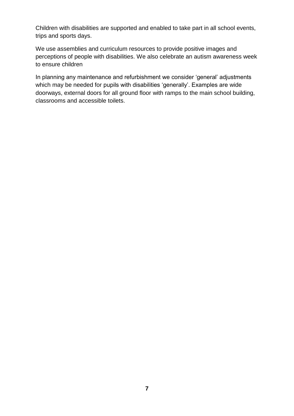Children with disabilities are supported and enabled to take part in all school events, trips and sports days.

We use assemblies and curriculum resources to provide positive images and perceptions of people with disabilities. We also celebrate an autism awareness week to ensure children

In planning any maintenance and refurbishment we consider 'general' adjustments which may be needed for pupils with disabilities 'generally'. Examples are wide doorways, external doors for all ground floor with ramps to the main school building, classrooms and accessible toilets.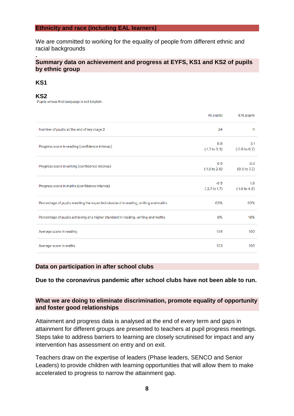#### **Ethnicity and race (including EAL learners)**

We are committed to working for the equality of people from different ethnic and racial backgrounds

#### **Summary data on achievement and progress at EYFS, KS1 and KS2 of pupils by ethnic group**

#### **KS1**

**.**

**KS2**<br>Pupils whose first language is not English.

|                                                                                   | All pupils                         | <b>EAL</b> pupils                 |
|-----------------------------------------------------------------------------------|------------------------------------|-----------------------------------|
| Number of pupils at the end of key stage 2                                        | 24                                 | 11                                |
| Progress score in reading (confidence interval)                                   | 0.8<br>$( -1.7 \text{ to } 3.3)$   | 3.1<br>$(-0.6 \text{ to } 6.7)$   |
| Progress score in writing (confidence interval)                                   | 0.5<br>$( -1.8 to 2.8)$            | 3.9<br>(0.5 to 7.3)               |
| Progress score in maths (confidence interval)                                     | $-0.5$<br>$(-2.7 \text{ to } 1.7)$ | 1.6<br>$( -1.6 \text{ to } 4.8 )$ |
| Percentage of pupils meeting the expected standard in reading, writing and maths  | 63%                                | 82%                               |
| Percentage of pupils achieving at a higher standard in reading, writing and maths | 8%                                 | 18%                               |
| Average score in reading                                                          | 104                                | 105                               |
| Average score in maths                                                            | 103                                | 105                               |

#### **Data on participation in after school clubs**

**Due to the coronavirus pandemic after school clubs have not been able to run.**

#### **What we are doing to eliminate discrimination, promote equality of opportunity and foster good relationships**

Attainment and progress data is analysed at the end of every term and gaps in attainment for different groups are presented to teachers at pupil progress meetings. Steps take to address barriers to learning are closely scrutinised for impact and any intervention has assessment on entry and on exit.

Teachers draw on the expertise of leaders (Phase leaders, SENCO and Senior Leaders) to provide children with learning opportunities that will allow them to make accelerated to progress to narrow the attainment gap.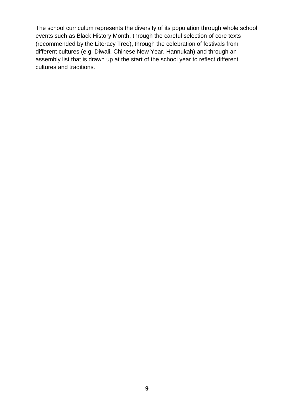The school curriculum represents the diversity of its population through whole school events such as Black History Month, through the careful selection of core texts (recommended by the Literacy Tree), through the celebration of festivals from different cultures (e.g. Diwali, Chinese New Year, Hannukah) and through an assembly list that is drawn up at the start of the school year to reflect different cultures and traditions.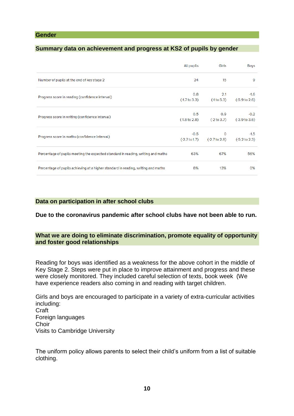#### **Gender**

#### **Summary data on achievement and progress at KS2 of pupils by gender**

|                                                                                   | All pupils                         | Girls                           | Boys                               |
|-----------------------------------------------------------------------------------|------------------------------------|---------------------------------|------------------------------------|
| Number of pupils at the end of key stage 2                                        | 24                                 | 15                              | 9                                  |
| Progress score in reading (confidence interval)                                   | 0.8<br>$(-1.7 \text{ to } 3.3)$    | 2.1<br>$( -1 to 5.3)$           | $-1.6$<br>$(-5.9 \text{ to } 2.6)$ |
| Progress score in writing (confidence interval)                                   | 0.5<br>$( -1.8 to 2.8)$            | 0.9<br>$(-2 \text{ to } 3.7)$   | $-0.2$<br>$(-3.9 to 3.6)$          |
| Progress score in maths (confidence interval)                                     | $-0.5$<br>$(-2.7 \text{ to } 1.7)$ | $\mathbf{0}$<br>$(-2.7 to 2.8)$ | $-1.5$<br>$(-5.2 \text{ to } 2.3)$ |
| Percentage of pupils meeting the expected standard in reading, writing and maths  | 63%                                | 67%                             | 56%                                |
| Percentage of pupils achieving at a higher standard in reading, writing and maths | 8%                                 | 13%                             | $0\%$                              |

#### **Data on participation in after school clubs**

**Due to the coronavirus pandemic after school clubs have not been able to run.**

#### **What we are doing to eliminate discrimination, promote equality of opportunity and foster good relationships**

Reading for boys was identified as a weakness for the above cohort in the middle of Key Stage 2. Steps were put in place to improve attainment and progress and these were closely monitored. They included careful selection of texts, book week (We have experience readers also coming in and reading with target children.

Girls and boys are encouraged to participate in a variety of extra-curricular activities including: Craft Foreign languages **Choir** Visits to Cambridge University

The uniform policy allows parents to select their child's uniform from a list of suitable clothing.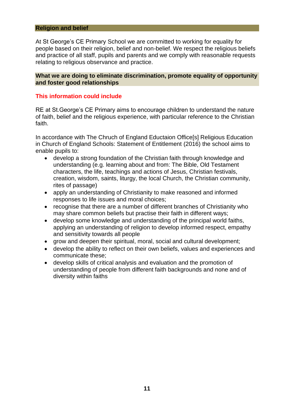#### **Religion and belief**

At St George's CE Primary School we are committed to working for equality for people based on their religion, belief and non-belief. We respect the religious beliefs and practice of all staff, pupils and parents and we comply with reasonable requests relating to religious observance and practice.

#### **What we are doing to eliminate discrimination, promote equality of opportunity and foster good relationships**

#### **This information could include**

RE at St.George's CE Primary aims to encourage children to understand the nature of faith, belief and the religious experience, with particular reference to the Christian faith.

In accordance with The Chruch of England Eductaion Office[s] Religious Education in Church of England Schools: Statement of Entitlement (2016) the school aims to enable pupils to:

- develop a strong foundation of the Christian faith through knowledge and understanding (e.g. learning about and from: The Bible, Old Testament characters, the life, teachings and actions of Jesus, Christian festivals, creation, wisdom, saints, liturgy, the local Church, the Christian community, rites of passage)
- apply an understanding of Christianity to make reasoned and informed responses to life issues and moral choices;
- recognise that there are a number of different branches of Christianity who may share common beliefs but practise their faith in different ways;
- develop some knowledge and understanding of the principal world faiths, applying an understanding of religion to develop informed respect, empathy and sensitivity towards all people
- grow and deepen their spiritual, moral, social and cultural development;
- develop the ability to reflect on their own beliefs, values and experiences and communicate these;
- develop skills of critical analysis and evaluation and the promotion of understanding of people from different faith backgrounds and none and of diversity within faiths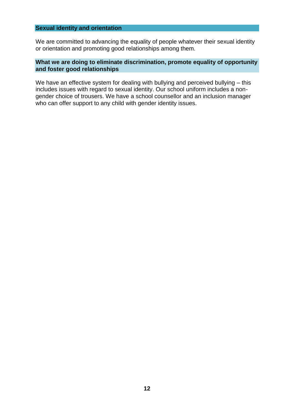#### **Sexual identity and orientation**

We are committed to advancing the equality of people whatever their sexual identity or orientation and promoting good relationships among them.

#### **What we are doing to eliminate discrimination, promote equality of opportunity and foster good relationships**

We have an effective system for dealing with bullying and perceived bullying – this includes issues with regard to sexual identity. Our school uniform includes a nongender choice of trousers. We have a school counsellor and an inclusion manager who can offer support to any child with gender identity issues.